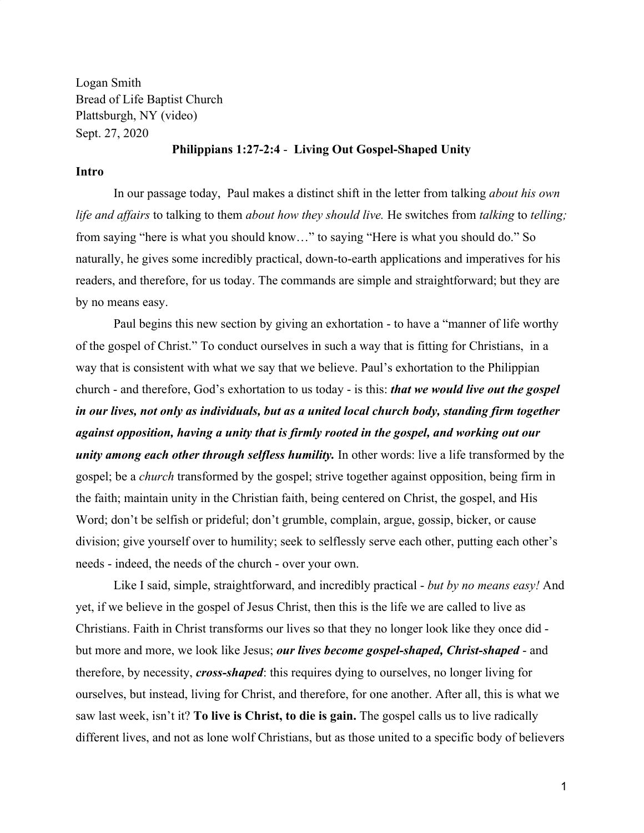Logan Smith Bread of Life Baptist Church Plattsburgh, NY (video) Sept. 27, 2020

### **Philippians 1:27-2:4** - **Living Out Gospel-Shaped Unity**

#### **Intro**

In our passage today, Paul makes a distinct shift in the letter from talking *about his own life and affairs* to talking to them *about how they should live.* He switches from *talking* to *telling;* from saying "here is what you should know…" to saying "Here is what you should do." So naturally, he gives some incredibly practical, down-to-earth applications and imperatives for his readers, and therefore, for us today. The commands are simple and straightforward; but they are by no means easy.

Paul begins this new section by giving an exhortation - to have a "manner of life worthy of the gospel of Christ." To conduct ourselves in such a way that is fitting for Christians, in a way that is consistent with what we say that we believe. Paul's exhortation to the Philippian church - and therefore, God's exhortation to us today - is this: *that we would live out the gospel in our lives, not only as individuals, but as a united local church body, standing firm together against opposition, having a unity that is firmly rooted in the gospel, and working out our unity among each other through selfless humility.* In other words: live a life transformed by the gospel; be a *church* transformed by the gospel; strive together against opposition, being firm in the faith; maintain unity in the Christian faith, being centered on Christ, the gospel, and His Word; don't be selfish or prideful; don't grumble, complain, argue, gossip, bicker, or cause division; give yourself over to humility; seek to selflessly serve each other, putting each other's needs - indeed, the needs of the church - over your own.

Like I said, simple, straightforward, and incredibly practical - *but by no means easy!* And yet, if we believe in the gospel of Jesus Christ, then this is the life we are called to live as Christians. Faith in Christ transforms our lives so that they no longer look like they once did but more and more, we look like Jesus; *our lives become gospel-shaped, Christ-shaped* - and therefore, by necessity, *cross-shaped*: this requires dying to ourselves, no longer living for ourselves, but instead, living for Christ, and therefore, for one another. After all, this is what we saw last week, isn't it? **To live is Christ, to die is gain.** The gospel calls us to live radically different lives, and not as lone wolf Christians, but as those united to a specific body of believers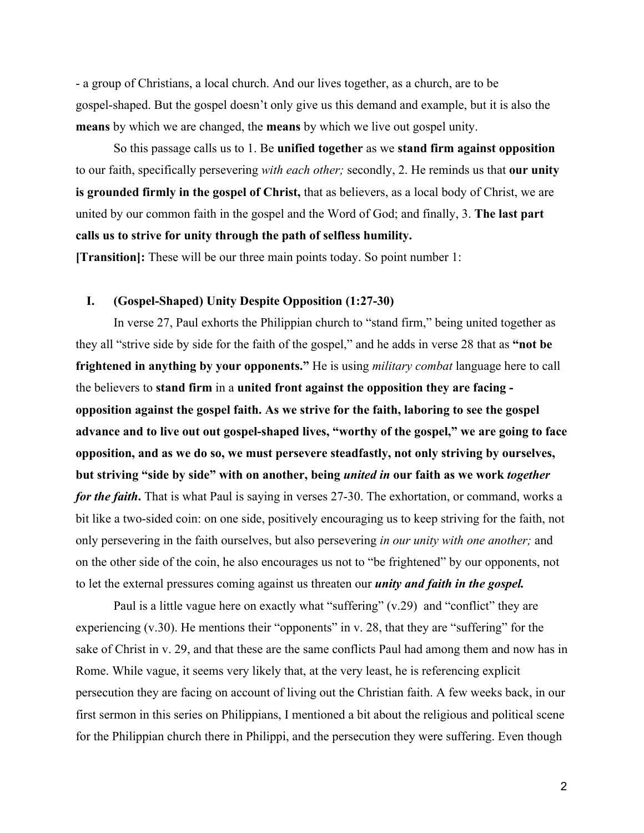- a group of Christians, a local church. And our lives together, as a church, are to be gospel-shaped. But the gospel doesn't only give us this demand and example, but it is also the **means** by which we are changed, the **means** by which we live out gospel unity.

So this passage calls us to 1. Be **unified together** as we **stand firm against opposition** to our faith, specifically persevering *with each other;* secondly, 2. He reminds us that **our unity is grounded firmly in the gospel of Christ,** that as believers, as a local body of Christ, we are united by our common faith in the gospel and the Word of God; and finally, 3. **The last part calls us to strive for unity through the path of selfless humility. [Transition]:** These will be our three main points today. So point number 1:

## **I. (Gospel-Shaped) Unity Despite Opposition (1:27-30)**

In verse 27, Paul exhorts the Philippian church to "stand firm," being united together as they all "strive side by side for the faith of the gospel," and he adds in verse 28 that as **"not be frightened in anything by your opponents."** He is using *military combat* language here to call the believers to **stand firm** in a **united front against the opposition they are facing opposition against the gospel faith. As we strive for the faith, laboring to see the gospel advance and to live out out gospel-shaped lives, "worthy of the gospel," we are going to face opposition, and as we do so, we must persevere steadfastly, not only striving by ourselves, but striving "side by side" with on another, being** *united in* **our faith as we work** *together for the faith*. That is what Paul is saying in verses 27-30. The exhortation, or command, works a bit like a two-sided coin: on one side, positively encouraging us to keep striving for the faith, not only persevering in the faith ourselves, but also persevering *in our unity with one another;* and on the other side of the coin, he also encourages us not to "be frightened" by our opponents, not to let the external pressures coming against us threaten our *unity and faith in the gospel.*

Paul is a little vague here on exactly what "suffering" (v.29) and "conflict" they are experiencing (v.30). He mentions their "opponents" in v. 28, that they are "suffering" for the sake of Christ in v. 29, and that these are the same conflicts Paul had among them and now has in Rome. While vague, it seems very likely that, at the very least, he is referencing explicit persecution they are facing on account of living out the Christian faith. A few weeks back, in our first sermon in this series on Philippians, I mentioned a bit about the religious and political scene for the Philippian church there in Philippi, and the persecution they were suffering. Even though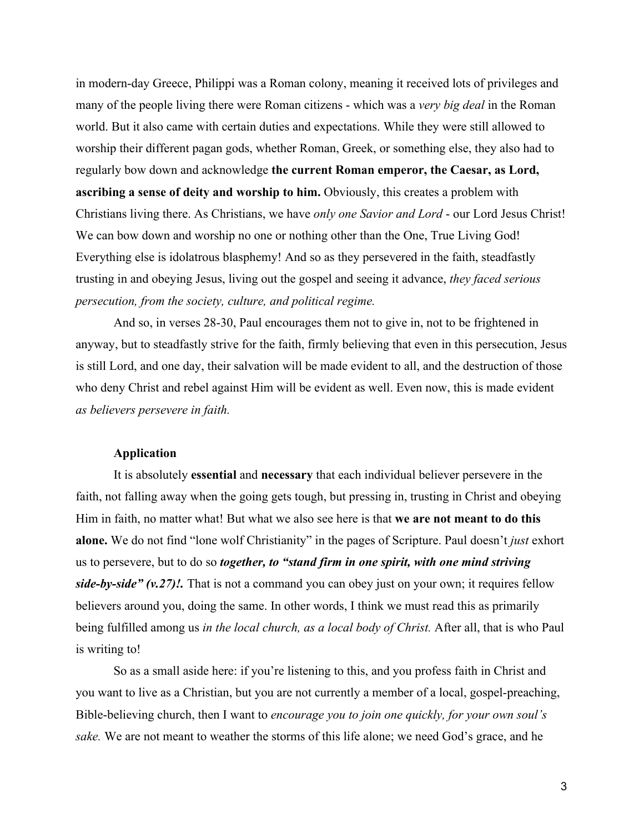in modern-day Greece, Philippi was a Roman colony, meaning it received lots of privileges and many of the people living there were Roman citizens - which was a *very big deal* in the Roman world. But it also came with certain duties and expectations. While they were still allowed to worship their different pagan gods, whether Roman, Greek, or something else, they also had to regularly bow down and acknowledge **the current Roman emperor, the Caesar, as Lord, ascribing a sense of deity and worship to him.** Obviously, this creates a problem with Christians living there. As Christians, we have *only one Savior and Lord* - our Lord Jesus Christ! We can bow down and worship no one or nothing other than the One, True Living God! Everything else is idolatrous blasphemy! And so as they persevered in the faith, steadfastly trusting in and obeying Jesus, living out the gospel and seeing it advance, *they faced serious persecution, from the society, culture, and political regime.*

And so, in verses 28-30, Paul encourages them not to give in, not to be frightened in anyway, but to steadfastly strive for the faith, firmly believing that even in this persecution, Jesus is still Lord, and one day, their salvation will be made evident to all, and the destruction of those who deny Christ and rebel against Him will be evident as well. Even now, this is made evident *as believers persevere in faith.*

# **Application**

It is absolutely **essential** and **necessary** that each individual believer persevere in the faith, not falling away when the going gets tough, but pressing in, trusting in Christ and obeying Him in faith, no matter what! But what we also see here is that **we are not meant to do this alone.** We do not find "lone wolf Christianity" in the pages of Scripture. Paul doesn't *just* exhort us to persevere, but to do so *together, to "stand firm in one spirit, with one mind striving side-by-side" (v.27)!.* That is not a command you can obey just on your own; it requires fellow believers around you, doing the same. In other words, I think we must read this as primarily being fulfilled among us *in the local church, as a local body of Christ.* After all, that is who Paul is writing to!

So as a small aside here: if you're listening to this, and you profess faith in Christ and you want to live as a Christian, but you are not currently a member of a local, gospel-preaching, Bible-believing church, then I want to *encourage you to join one quickly, for your own soul's sake.* We are not meant to weather the storms of this life alone; we need God's grace, and he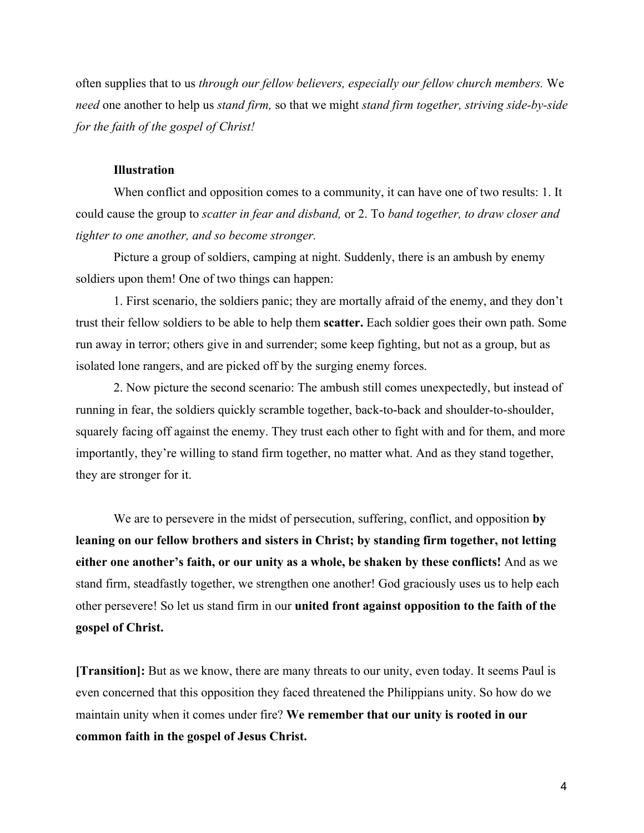often supplies that to us *through our fellow believers, especially our fellow church members.* We *need* one another to help us *stand firm,* so that we might *stand firm together, striving side-by-side for the faith of the gospel of Christ!*

### **Illustration**

When conflict and opposition comes to a community, it can have one of two results: 1. It could cause the group to *scatter in fear and disband,* or 2. To *band together, to draw closer and tighter to one another, and so become stronger.*

Picture a group of soldiers, camping at night. Suddenly, there is an ambush by enemy soldiers upon them! One of two things can happen:

1. First scenario, the soldiers panic; they are mortally afraid of the enemy, and they don't trust their fellow soldiers to be able to help them **scatter.** Each soldier goes their own path. Some run away in terror; others give in and surrender; some keep fighting, but not as a group, but as isolated lone rangers, and are picked off by the surging enemy forces.

2. Now picture the second scenario: The ambush still comes unexpectedly, but instead of running in fear, the soldiers quickly scramble together, back-to-back and shoulder-to-shoulder, squarely facing off against the enemy. They trust each other to fight with and for them, and more importantly, they're willing to stand firm together, no matter what. And as they stand together, they are stronger for it.

We are to persevere in the midst of persecution, suffering, conflict, and opposition **by leaning on our fellow brothers and sisters in Christ; by standing firm together, not letting either one another's faith, or our unity as a whole, be shaken by these conflicts!** And as we stand firm, steadfastly together, we strengthen one another! God graciously uses us to help each other persevere! So let us stand firm in our **united front against opposition to the faith of the gospel of Christ.**

**[Transition]:** But as we know, there are many threats to our unity, even today. It seems Paul is even concerned that this opposition they faced threatened the Philippians unity. So how do we maintain unity when it comes under fire? **We remember that our unity is rooted in our common faith in the gospel of Jesus Christ.**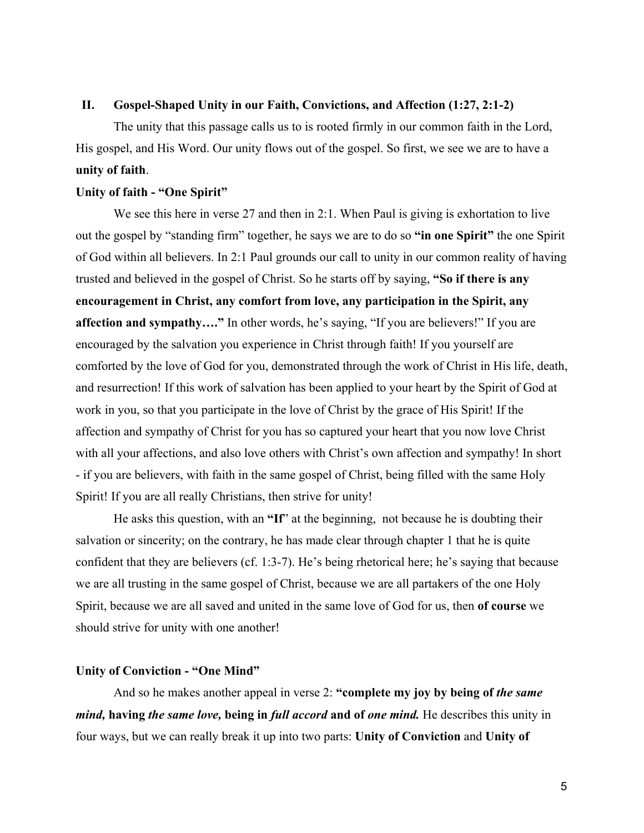# **II. Gospel-Shaped Unity in our Faith, Convictions, and Affection (1:27, 2:1-2)**

The unity that this passage calls us to is rooted firmly in our common faith in the Lord, His gospel, and His Word. Our unity flows out of the gospel. So first, we see we are to have a **unity of faith**.

## **Unity of faith - "One Spirit"**

We see this here in verse 27 and then in 2:1. When Paul is giving is exhortation to live out the gospel by "standing firm" together, he says we are to do so **"in one Spirit"** the one Spirit of God within all believers. In 2:1 Paul grounds our call to unity in our common reality of having trusted and believed in the gospel of Christ. So he starts off by saying, **"So if there is any encouragement in Christ, any comfort from love, any participation in the Spirit, any affection and sympathy…."** In other words, he's saying, "If you are believers!" If you are encouraged by the salvation you experience in Christ through faith! If you yourself are comforted by the love of God for you, demonstrated through the work of Christ in His life, death, and resurrection! If this work of salvation has been applied to your heart by the Spirit of God at work in you, so that you participate in the love of Christ by the grace of His Spirit! If the affection and sympathy of Christ for you has so captured your heart that you now love Christ with all your affections, and also love others with Christ's own affection and sympathy! In short - if you are believers, with faith in the same gospel of Christ, being filled with the same Holy Spirit! If you are all really Christians, then strive for unity!

He asks this question, with an **"If**" at the beginning, not because he is doubting their salvation or sincerity; on the contrary, he has made clear through chapter 1 that he is quite confident that they are believers (cf. 1:3-7). He's being rhetorical here; he's saying that because we are all trusting in the same gospel of Christ, because we are all partakers of the one Holy Spirit, because we are all saved and united in the same love of God for us, then **of course** we should strive for unity with one another!

### **Unity of Conviction - "One Mind"**

And so he makes another appeal in verse 2: **"complete my joy by being of** *the same mind,* **having** *the same love,* **being in** *full accord* **and of** *one mind.* He describes this unity in four ways, but we can really break it up into two parts: **Unity of Conviction** and **Unity of**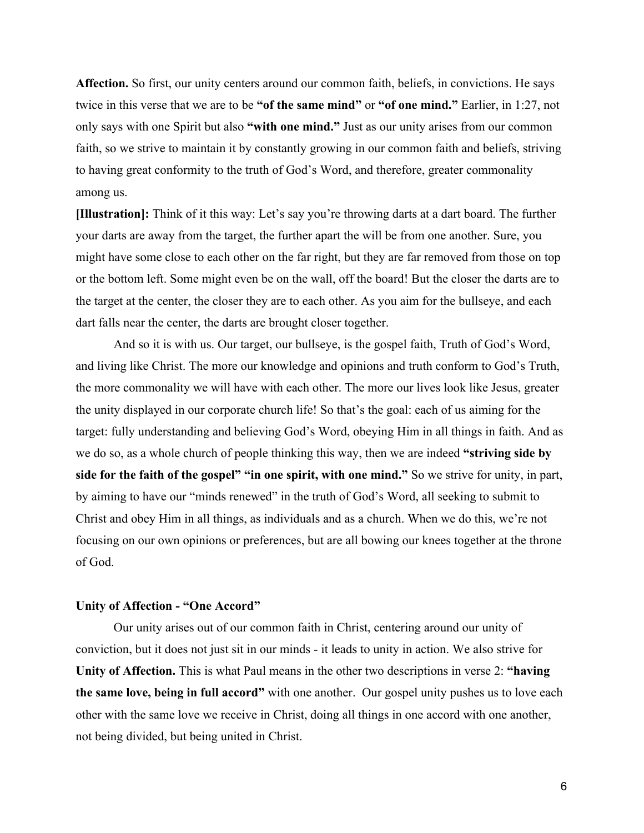**Affection.** So first, our unity centers around our common faith, beliefs, in convictions. He says twice in this verse that we are to be **"of the same mind"** or **"of one mind."** Earlier, in 1:27, not only says with one Spirit but also **"with one mind."** Just as our unity arises from our common faith, so we strive to maintain it by constantly growing in our common faith and beliefs, striving to having great conformity to the truth of God's Word, and therefore, greater commonality among us.

**[Illustration]:** Think of it this way: Let's say you're throwing darts at a dart board. The further your darts are away from the target, the further apart the will be from one another. Sure, you might have some close to each other on the far right, but they are far removed from those on top or the bottom left. Some might even be on the wall, off the board! But the closer the darts are to the target at the center, the closer they are to each other. As you aim for the bullseye, and each dart falls near the center, the darts are brought closer together.

And so it is with us. Our target, our bullseye, is the gospel faith, Truth of God's Word, and living like Christ. The more our knowledge and opinions and truth conform to God's Truth, the more commonality we will have with each other. The more our lives look like Jesus, greater the unity displayed in our corporate church life! So that's the goal: each of us aiming for the target: fully understanding and believing God's Word, obeying Him in all things in faith. And as we do so, as a whole church of people thinking this way, then we are indeed **"striving side by side for the faith of the gospel" "in one spirit, with one mind."** So we strive for unity, in part, by aiming to have our "minds renewed" in the truth of God's Word, all seeking to submit to Christ and obey Him in all things, as individuals and as a church. When we do this, we're not focusing on our own opinions or preferences, but are all bowing our knees together at the throne of God.

#### **Unity of Affection - "One Accord"**

Our unity arises out of our common faith in Christ, centering around our unity of conviction, but it does not just sit in our minds - it leads to unity in action. We also strive for **Unity of Affection.** This is what Paul means in the other two descriptions in verse 2: **"having the same love, being in full accord"** with one another. Our gospel unity pushes us to love each other with the same love we receive in Christ, doing all things in one accord with one another, not being divided, but being united in Christ.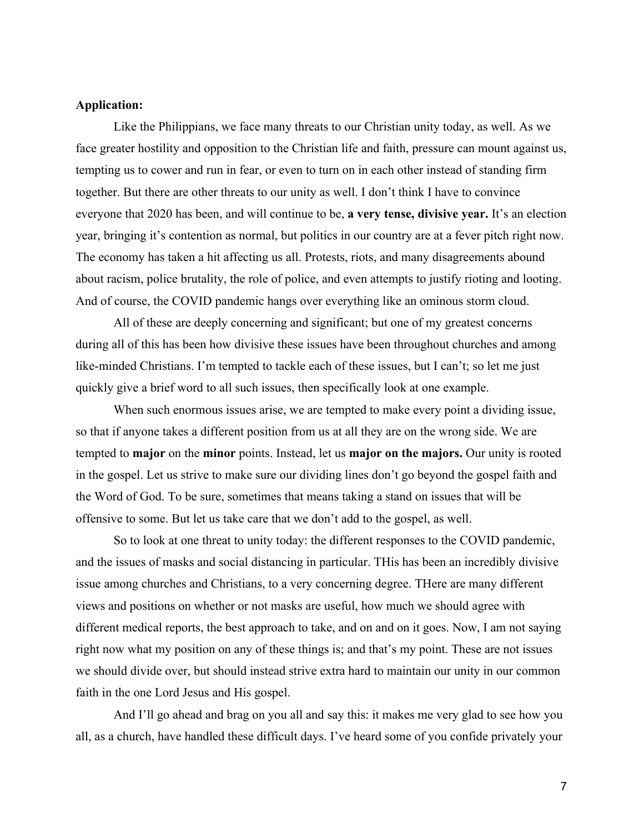### **Application:**

Like the Philippians, we face many threats to our Christian unity today, as well. As we face greater hostility and opposition to the Christian life and faith, pressure can mount against us, tempting us to cower and run in fear, or even to turn on in each other instead of standing firm together. But there are other threats to our unity as well. I don't think I have to convince everyone that 2020 has been, and will continue to be, **a very tense, divisive year.** It's an election year, bringing it's contention as normal, but politics in our country are at a fever pitch right now. The economy has taken a hit affecting us all. Protests, riots, and many disagreements abound about racism, police brutality, the role of police, and even attempts to justify rioting and looting. And of course, the COVID pandemic hangs over everything like an ominous storm cloud.

All of these are deeply concerning and significant; but one of my greatest concerns during all of this has been how divisive these issues have been throughout churches and among like-minded Christians. I'm tempted to tackle each of these issues, but I can't; so let me just quickly give a brief word to all such issues, then specifically look at one example.

When such enormous issues arise, we are tempted to make every point a dividing issue, so that if anyone takes a different position from us at all they are on the wrong side. We are tempted to **major** on the **minor** points. Instead, let us **major on the majors.** Our unity is rooted in the gospel. Let us strive to make sure our dividing lines don't go beyond the gospel faith and the Word of God. To be sure, sometimes that means taking a stand on issues that will be offensive to some. But let us take care that we don't add to the gospel, as well.

So to look at one threat to unity today: the different responses to the COVID pandemic, and the issues of masks and social distancing in particular. THis has been an incredibly divisive issue among churches and Christians, to a very concerning degree. THere are many different views and positions on whether or not masks are useful, how much we should agree with different medical reports, the best approach to take, and on and on it goes. Now, I am not saying right now what my position on any of these things is; and that's my point. These are not issues we should divide over, but should instead strive extra hard to maintain our unity in our common faith in the one Lord Jesus and His gospel.

And I'll go ahead and brag on you all and say this: it makes me very glad to see how you all, as a church, have handled these difficult days. I've heard some of you confide privately your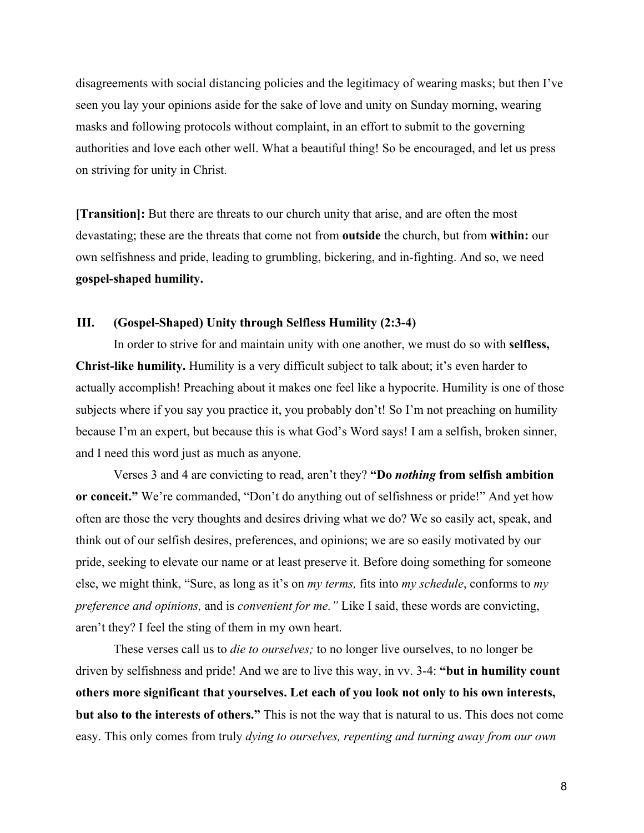disagreements with social distancing policies and the legitimacy of wearing masks; but then I've seen you lay your opinions aside for the sake of love and unity on Sunday morning, wearing masks and following protocols without complaint, in an effort to submit to the governing authorities and love each other well. What a beautiful thing! So be encouraged, and let us press on striving for unity in Christ.

**[Transition]:** But there are threats to our church unity that arise, and are often the most devastating; these are the threats that come not from **outside** the church, but from **within:** our own selfishness and pride, leading to grumbling, bickering, and in-fighting. And so, we need **gospel-shaped humility.**

### **III. (Gospel-Shaped) Unity through Selfless Humility (2:3-4)**

In order to strive for and maintain unity with one another, we must do so with **selfless, Christ-like humility.** Humility is a very difficult subject to talk about; it's even harder to actually accomplish! Preaching about it makes one feel like a hypocrite. Humility is one of those subjects where if you say you practice it, you probably don't! So I'm not preaching on humility because I'm an expert, but because this is what God's Word says! I am a selfish, broken sinner, and I need this word just as much as anyone.

Verses 3 and 4 are convicting to read, aren't they? **"Do** *nothing* **from selfish ambition or conceit."** We're commanded, "Don't do anything out of selfishness or pride!" And yet how often are those the very thoughts and desires driving what we do? We so easily act, speak, and think out of our selfish desires, preferences, and opinions; we are so easily motivated by our pride, seeking to elevate our name or at least preserve it. Before doing something for someone else, we might think, "Sure, as long as it's on *my terms,* fits into *my schedule*, conforms to *my preference and opinions,* and is *convenient for me."* Like I said, these words are convicting, aren't they? I feel the sting of them in my own heart.

These verses call us to *die to ourselves;* to no longer live ourselves, to no longer be driven by selfishness and pride! And we are to live this way, in vv. 3-4: **"but in humility count others more significant that yourselves. Let each of you look not only to his own interests, but also to the interests of others."** This is not the way that is natural to us. This does not come easy. This only comes from truly *dying to ourselves, repenting and turning away from our own*